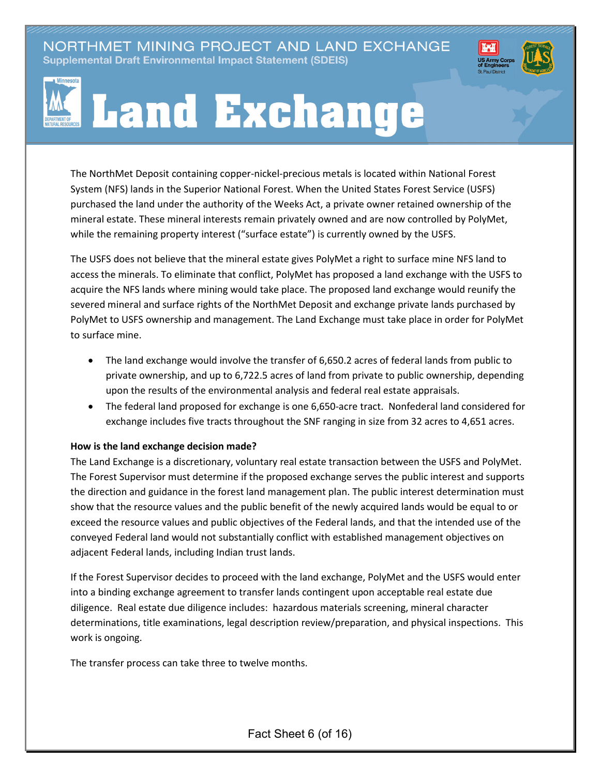NORTHMET MINING PROJECT AND LAND EXCHANGE Supplemental Draft Environmental Impact Statement (SDEIS)





The NorthMet Deposit containing copper-nickel-precious metals is located within National Forest System (NFS) lands in the Superior National Forest. When the United States Forest Service (USFS) purchased the land under the authority of the Weeks Act, a private owner retained ownership of the mineral estate. These mineral interests remain privately owned and are now controlled by PolyMet, while the remaining property interest ("surface estate") is currently owned by the USFS.

The USFS does not believe that the mineral estate gives PolyMet a right to surface mine NFS land to access the minerals. To eliminate that conflict, PolyMet has proposed a land exchange with the USFS to acquire the NFS lands where mining would take place. The proposed land exchange would reunify the severed mineral and surface rights of the NorthMet Deposit and exchange private lands purchased by PolyMet to USFS ownership and management. The Land Exchange must take place in order for PolyMet to surface mine.

- The land exchange would involve the transfer of 6,650.2 acres of federal lands from public to private ownership, and up to 6,722.5 acres of land from private to public ownership, depending upon the results of the environmental analysis and federal real estate appraisals.
- The federal land proposed for exchange is one 6,650-acre tract. Nonfederal land considered for exchange includes five tracts throughout the SNF ranging in size from 32 acres to 4,651 acres.

## **How is the land exchange decision made?**

The Land Exchange is a discretionary, voluntary real estate transaction between the USFS and PolyMet. The Forest Supervisor must determine if the proposed exchange serves the public interest and supports the direction and guidance in the forest land management plan. The public interest determination must show that the resource values and the public benefit of the newly acquired lands would be equal to or exceed the resource values and public objectives of the Federal lands, and that the intended use of the conveyed Federal land would not substantially conflict with established management objectives on adjacent Federal lands, including Indian trust lands.

If the Forest Supervisor decides to proceed with the land exchange, PolyMet and the USFS would enter into a binding exchange agreement to transfer lands contingent upon acceptable real estate due diligence. Real estate due diligence includes: hazardous materials screening, mineral character determinations, title examinations, legal description review/preparation, and physical inspections. This work is ongoing.

The transfer process can take three to twelve months.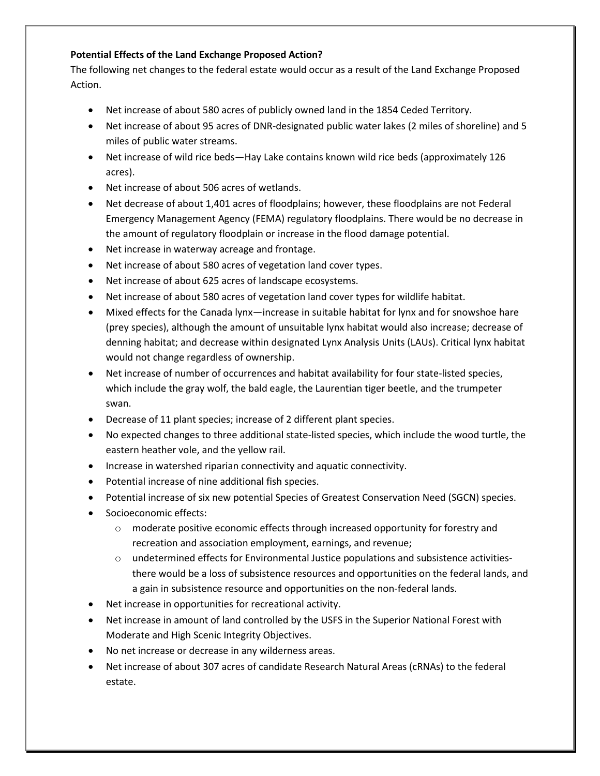## **Potential Effects of the Land Exchange Proposed Action?**

The following net changes to the federal estate would occur as a result of the Land Exchange Proposed Action.

- Net increase of about 580 acres of publicly owned land in the 1854 Ceded Territory.
- Net increase of about 95 acres of DNR-designated public water lakes (2 miles of shoreline) and 5 miles of public water streams.
- Net increase of wild rice beds—Hay Lake contains known wild rice beds (approximately 126 acres).
- Net increase of about 506 acres of wetlands.
- Net decrease of about 1,401 acres of floodplains; however, these floodplains are not Federal Emergency Management Agency (FEMA) regulatory floodplains. There would be no decrease in the amount of regulatory floodplain or increase in the flood damage potential.
- Net increase in waterway acreage and frontage.
- Net increase of about 580 acres of vegetation land cover types.
- Net increase of about 625 acres of landscape ecosystems.
- Net increase of about 580 acres of vegetation land cover types for wildlife habitat.
- Mixed effects for the Canada lynx—increase in suitable habitat for lynx and for snowshoe hare (prey species), although the amount of unsuitable lynx habitat would also increase; decrease of denning habitat; and decrease within designated Lynx Analysis Units (LAUs). Critical lynx habitat would not change regardless of ownership.
- Net increase of number of occurrences and habitat availability for four state-listed species, which include the gray wolf, the bald eagle, the Laurentian tiger beetle, and the trumpeter swan.
- Decrease of 11 plant species; increase of 2 different plant species.
- No expected changes to three additional state-listed species, which include the wood turtle, the eastern heather vole, and the yellow rail.
- Increase in watershed riparian connectivity and aquatic connectivity.
- Potential increase of nine additional fish species.
- Potential increase of six new potential Species of Greatest Conservation Need (SGCN) species.
- Socioeconomic effects:
	- $\circ$  moderate positive economic effects through increased opportunity for forestry and recreation and association employment, earnings, and revenue;
	- $\circ$  undetermined effects for Environmental Justice populations and subsistence activitiesthere would be a loss of subsistence resources and opportunities on the federal lands, and a gain in subsistence resource and opportunities on the non-federal lands.
- Net increase in opportunities for recreational activity.
- Net increase in amount of land controlled by the USFS in the Superior National Forest with Moderate and High Scenic Integrity Objectives.
- No net increase or decrease in any wilderness areas.
- Net increase of about 307 acres of candidate Research Natural Areas (cRNAs) to the federal estate.